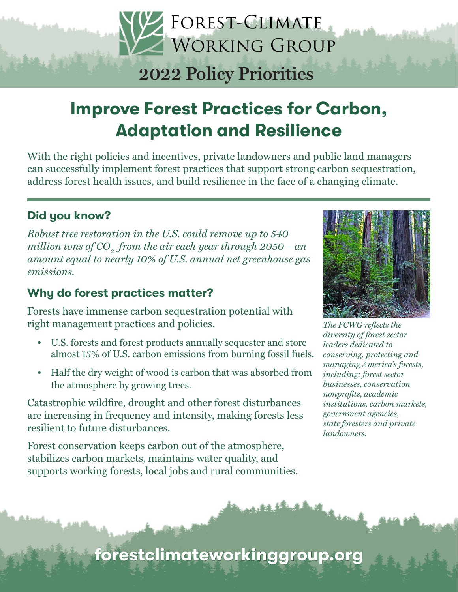# FOREST-CLIMATE WORKING GROUP **2022 Policy Priorities**

## Improve Forest Practices for Carbon, Adaptation and Resilience

With the right policies and incentives, private landowners and public land managers can successfully implement forest practices that support strong carbon sequestration, address forest health issues, and build resilience in the face of a changing climate.

## Did you know?

*Robust tree restoration in the U.S. could remove up to 540 million tons of CO<sub>2</sub> from the air each year through 2050 – an amount equal to nearly 10% of U.S. annual net greenhouse gas emissions.*

## Why do forest practices matter?

Forests have immense carbon sequestration potential with right management practices and policies.

- U.S. forests and forest products annually sequester and store almost 15% of U.S. carbon emissions from burning fossil fuels.
- Half the dry weight of wood is carbon that was absorbed from the atmosphere by growing trees.

Catastrophic wildfire, drought and other forest disturbances are increasing in frequency and intensity, making forests less resilient to future disturbances.

Forest conservation keeps carbon out of the atmosphere, stabilizes carbon markets, maintains water quality, and supports working forests, local jobs and rural communities.



*The FCWG reflects the diversity of forest sector leaders dedicated to conserving, protecting and managing America's forests, including: forest sector businesses, conservation nonprofits, academic institutions, carbon markets, government agencies, state foresters and private landowners.*

forestclimateworkinggroup.org